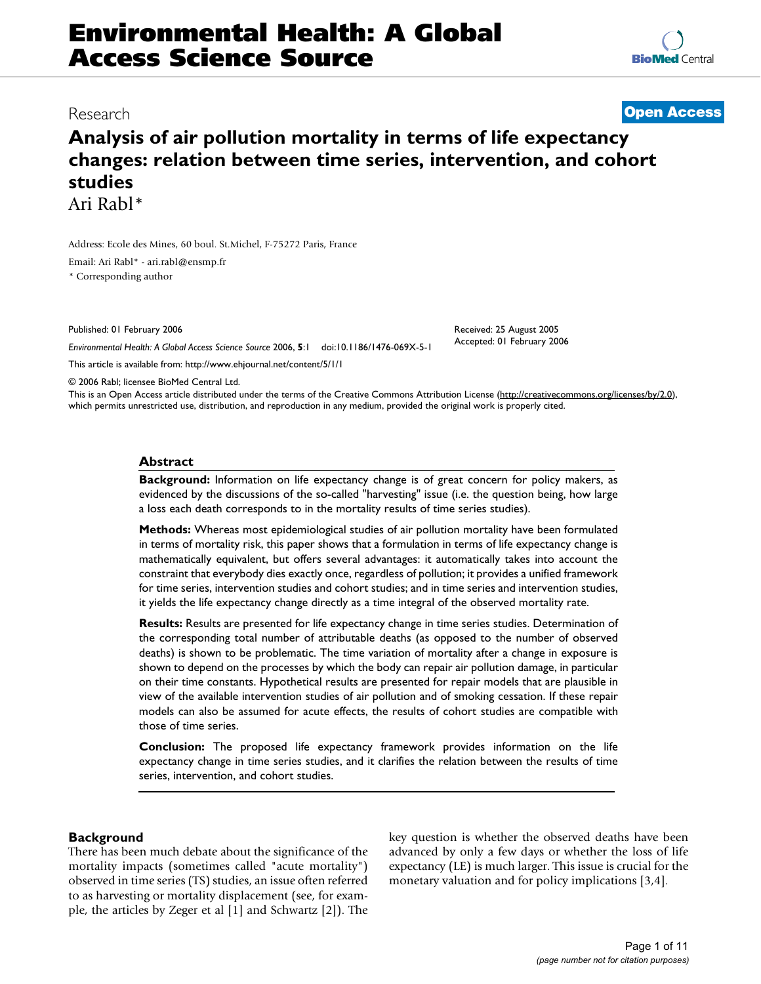# **Environmental Health: A Global Access Science Source**

# Research **[Open Access](http://www.biomedcentral.com/info/about/charter/)**

**[BioMed](http://www.biomedcentral.com/)** Central

**Analysis of air pollution mortality in terms of life expectancy changes: relation between time series, intervention, and cohort studies** Ari Rabl\*

Address: Ecole des Mines, 60 boul. St.Michel, F-75272 Paris, France

Email: Ari Rabl\* - ari.rabl@ensmp.fr

\* Corresponding author

Published: 01 February 2006

*Environmental Health: A Global Access Science Source* 2006, **5**:1 doi:10.1186/1476-069X-5-1

[This article is available from: http://www.ehjournal.net/content/5/1/1](http://www.ehjournal.net/content/5/1/1)

© 2006 Rabl; licensee BioMed Central Ltd.

This is an Open Access article distributed under the terms of the Creative Commons Attribution License [\(http://creativecommons.org/licenses/by/2.0\)](http://creativecommons.org/licenses/by/2.0), which permits unrestricted use, distribution, and reproduction in any medium, provided the original work is properly cited.

# **Abstract**

**Background:** Information on life expectancy change is of great concern for policy makers, as evidenced by the discussions of the so-called "harvesting" issue (i.e. the question being, how large a loss each death corresponds to in the mortality results of time series studies).

**Methods:** Whereas most epidemiological studies of air pollution mortality have been formulated in terms of mortality risk, this paper shows that a formulation in terms of life expectancy change is mathematically equivalent, but offers several advantages: it automatically takes into account the constraint that everybody dies exactly once, regardless of pollution; it provides a unified framework for time series, intervention studies and cohort studies; and in time series and intervention studies, it yields the life expectancy change directly as a time integral of the observed mortality rate.

**Results:** Results are presented for life expectancy change in time series studies. Determination of the corresponding total number of attributable deaths (as opposed to the number of observed deaths) is shown to be problematic. The time variation of mortality after a change in exposure is shown to depend on the processes by which the body can repair air pollution damage, in particular on their time constants. Hypothetical results are presented for repair models that are plausible in view of the available intervention studies of air pollution and of smoking cessation. If these repair models can also be assumed for acute effects, the results of cohort studies are compatible with those of time series.

**Conclusion:** The proposed life expectancy framework provides information on the life expectancy change in time series studies, and it clarifies the relation between the results of time series, intervention, and cohort studies.

# **Background**

There has been much debate about the significance of the mortality impacts (sometimes called "acute mortality") observed in time series (TS) studies, an issue often referred to as harvesting or mortality displacement (see, for example, the articles by Zeger et al [1] and Schwartz [2]). The key question is whether the observed deaths have been advanced by only a few days or whether the loss of life expectancy (LE) is much larger. This issue is crucial for the monetary valuation and for policy implications [3,4].

Received: 25 August 2005 Accepted: 01 February 2006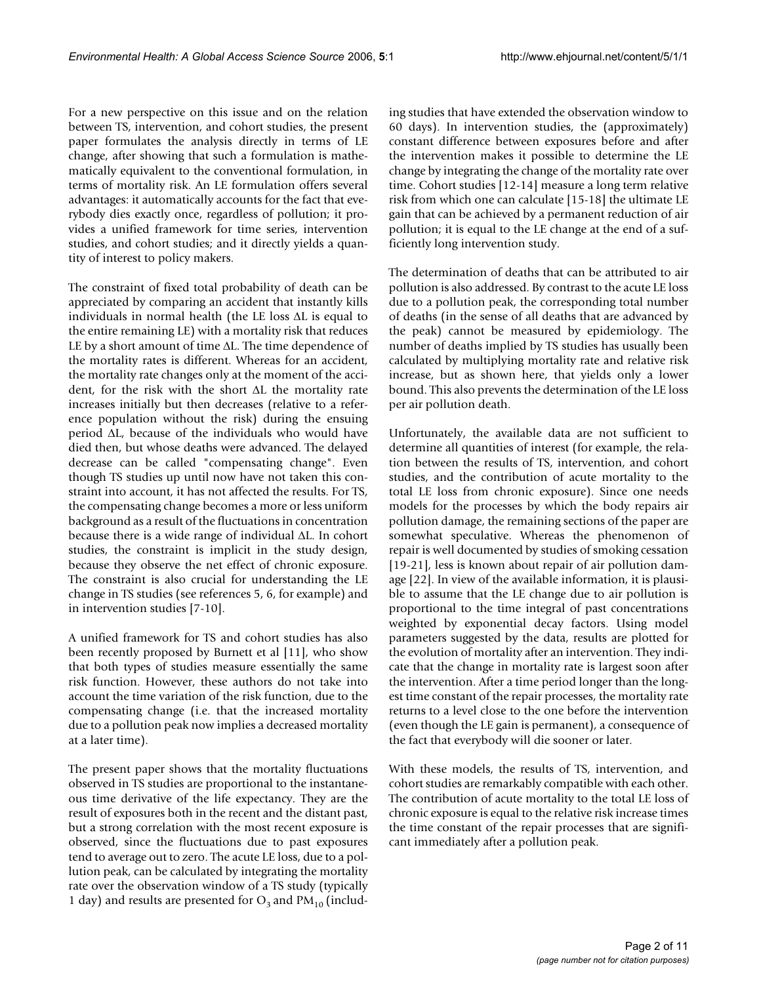For a new perspective on this issue and on the relation between TS, intervention, and cohort studies, the present paper formulates the analysis directly in terms of LE change, after showing that such a formulation is mathematically equivalent to the conventional formulation, in terms of mortality risk. An LE formulation offers several advantages: it automatically accounts for the fact that everybody dies exactly once, regardless of pollution; it provides a unified framework for time series, intervention studies, and cohort studies; and it directly yields a quantity of interest to policy makers.

The constraint of fixed total probability of death can be appreciated by comparing an accident that instantly kills individuals in normal health (the LE loss ∆L is equal to the entire remaining LE) with a mortality risk that reduces LE by a short amount of time ∆L. The time dependence of the mortality rates is different. Whereas for an accident, the mortality rate changes only at the moment of the accident, for the risk with the short ∆L the mortality rate increases initially but then decreases (relative to a reference population without the risk) during the ensuing period ∆L, because of the individuals who would have died then, but whose deaths were advanced. The delayed decrease can be called "compensating change". Even though TS studies up until now have not taken this constraint into account, it has not affected the results. For TS, the compensating change becomes a more or less uniform background as a result of the fluctuations in concentration because there is a wide range of individual ∆L. In cohort studies, the constraint is implicit in the study design, because they observe the net effect of chronic exposure. The constraint is also crucial for understanding the LE change in TS studies (see references 5, 6, for example) and in intervention studies [7-10].

A unified framework for TS and cohort studies has also been recently proposed by Burnett et al [11], who show that both types of studies measure essentially the same risk function. However, these authors do not take into account the time variation of the risk function, due to the compensating change (i.e. that the increased mortality due to a pollution peak now implies a decreased mortality at a later time).

The present paper shows that the mortality fluctuations observed in TS studies are proportional to the instantaneous time derivative of the life expectancy. They are the result of exposures both in the recent and the distant past, but a strong correlation with the most recent exposure is observed, since the fluctuations due to past exposures tend to average out to zero. The acute LE loss, due to a pollution peak, can be calculated by integrating the mortality rate over the observation window of a TS study (typically 1 day) and results are presented for  $O_3$  and PM<sub>10</sub> (including studies that have extended the observation window to 60 days). In intervention studies, the (approximately) constant difference between exposures before and after the intervention makes it possible to determine the LE change by integrating the change of the mortality rate over time. Cohort studies [12-14] measure a long term relative risk from which one can calculate [15-18] the ultimate LE gain that can be achieved by a permanent reduction of air pollution; it is equal to the LE change at the end of a sufficiently long intervention study.

The determination of deaths that can be attributed to air pollution is also addressed. By contrast to the acute LE loss due to a pollution peak, the corresponding total number of deaths (in the sense of all deaths that are advanced by the peak) cannot be measured by epidemiology. The number of deaths implied by TS studies has usually been calculated by multiplying mortality rate and relative risk increase, but as shown here, that yields only a lower bound. This also prevents the determination of the LE loss per air pollution death.

Unfortunately, the available data are not sufficient to determine all quantities of interest (for example, the relation between the results of TS, intervention, and cohort studies, and the contribution of acute mortality to the total LE loss from chronic exposure). Since one needs models for the processes by which the body repairs air pollution damage, the remaining sections of the paper are somewhat speculative. Whereas the phenomenon of repair is well documented by studies of smoking cessation [19-21], less is known about repair of air pollution damage [22]. In view of the available information, it is plausible to assume that the LE change due to air pollution is proportional to the time integral of past concentrations weighted by exponential decay factors. Using model parameters suggested by the data, results are plotted for the evolution of mortality after an intervention. They indicate that the change in mortality rate is largest soon after the intervention. After a time period longer than the longest time constant of the repair processes, the mortality rate returns to a level close to the one before the intervention (even though the LE gain is permanent), a consequence of the fact that everybody will die sooner or later.

With these models, the results of TS, intervention, and cohort studies are remarkably compatible with each other. The contribution of acute mortality to the total LE loss of chronic exposure is equal to the relative risk increase times the time constant of the repair processes that are significant immediately after a pollution peak.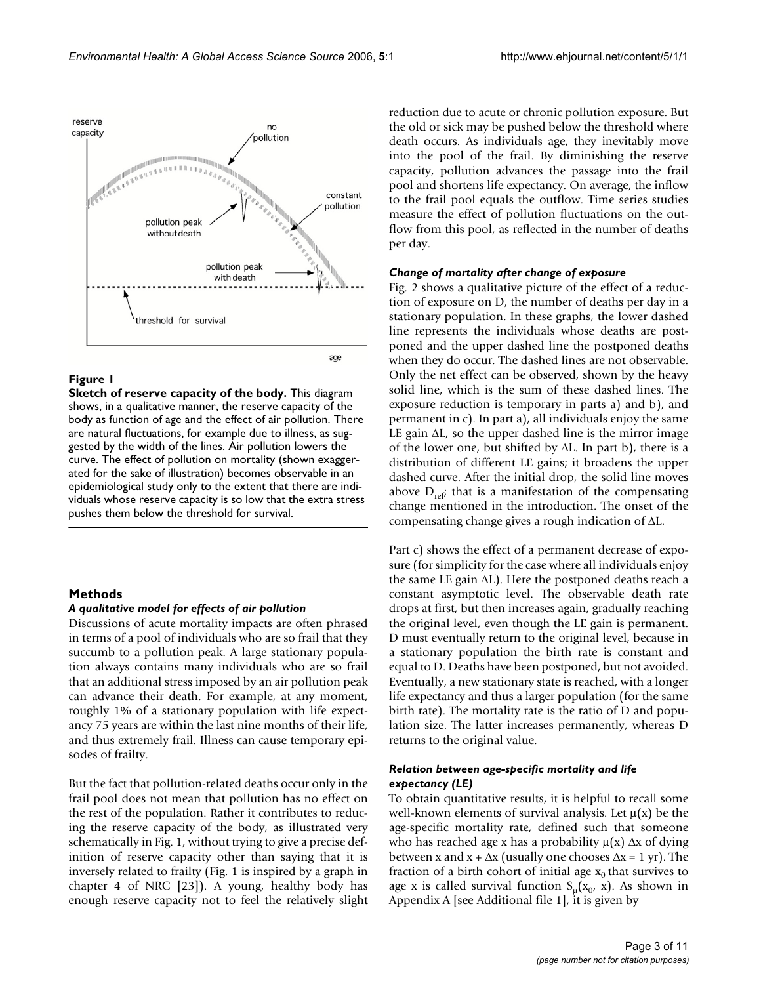

#### **Figure 1**

**Sketch of reserve capacity of the body.** This diagram shows, in a qualitative manner, the reserve capacity of the body as function of age and the effect of air pollution. There are natural fluctuations, for example due to illness, as suggested by the width of the lines. Air pollution lowers the curve. The effect of pollution on mortality (shown exaggerated for the sake of illustration) becomes observable in an epidemiological study only to the extent that there are individuals whose reserve capacity is so low that the extra stress pushes them below the threshold for survival.

## **Methods**

#### *A qualitative model for effects of air pollution*

Discussions of acute mortality impacts are often phrased in terms of a pool of individuals who are so frail that they succumb to a pollution peak. A large stationary population always contains many individuals who are so frail that an additional stress imposed by an air pollution peak can advance their death. For example, at any moment, roughly 1% of a stationary population with life expectancy 75 years are within the last nine months of their life, and thus extremely frail. Illness can cause temporary episodes of frailty.

But the fact that pollution-related deaths occur only in the frail pool does not mean that pollution has no effect on the rest of the population. Rather it contributes to reducing the reserve capacity of the body, as illustrated very schematically in Fig. 1, without trying to give a precise definition of reserve capacity other than saying that it is inversely related to frailty (Fig. 1 is inspired by a graph in chapter 4 of NRC [23]). A young, healthy body has enough reserve capacity not to feel the relatively slight reduction due to acute or chronic pollution exposure. But the old or sick may be pushed below the threshold where death occurs. As individuals age, they inevitably move into the pool of the frail. By diminishing the reserve capacity, pollution advances the passage into the frail pool and shortens life expectancy. On average, the inflow to the frail pool equals the outflow. Time series studies measure the effect of pollution fluctuations on the outflow from this pool, as reflected in the number of deaths per day.

#### *Change of mortality after change of exposure*

Fig. 2 shows a qualitative picture of the effect of a reduction of exposure on D, the number of deaths per day in a stationary population. In these graphs, the lower dashed line represents the individuals whose deaths are postponed and the upper dashed line the postponed deaths when they do occur. The dashed lines are not observable. Only the net effect can be observed, shown by the heavy solid line, which is the sum of these dashed lines. The exposure reduction is temporary in parts a) and b), and permanent in c). In part a), all individuals enjoy the same LE gain ∆L, so the upper dashed line is the mirror image of the lower one, but shifted by ∆L. In part b), there is a distribution of different LE gains; it broadens the upper dashed curve. After the initial drop, the solid line moves above  $D_{ref}$ ; that is a manifestation of the compensating change mentioned in the introduction. The onset of the compensating change gives a rough indication of ∆L.

Part c) shows the effect of a permanent decrease of exposure (for simplicity for the case where all individuals enjoy the same LE gain ∆L). Here the postponed deaths reach a constant asymptotic level. The observable death rate drops at first, but then increases again, gradually reaching the original level, even though the LE gain is permanent. D must eventually return to the original level, because in a stationary population the birth rate is constant and equal to D. Deaths have been postponed, but not avoided. Eventually, a new stationary state is reached, with a longer life expectancy and thus a larger population (for the same birth rate). The mortality rate is the ratio of D and population size. The latter increases permanently, whereas D returns to the original value.

# *Relation between age-specific mortality and life expectancy (LE)*

To obtain quantitative results, it is helpful to recall some well-known elements of survival analysis. Let  $\mu(x)$  be the age-specific mortality rate, defined such that someone who has reached age x has a probability µ(x) ∆x of dying between x and  $x + \Delta x$  (usually one chooses  $\Delta x = 1$  yr). The fraction of a birth cohort of initial age  $x_0$  that survives to age x is called survival function  $S_{\mu}(x_0, x)$ . As shown in Appendix A [see Additional file 1], it is given by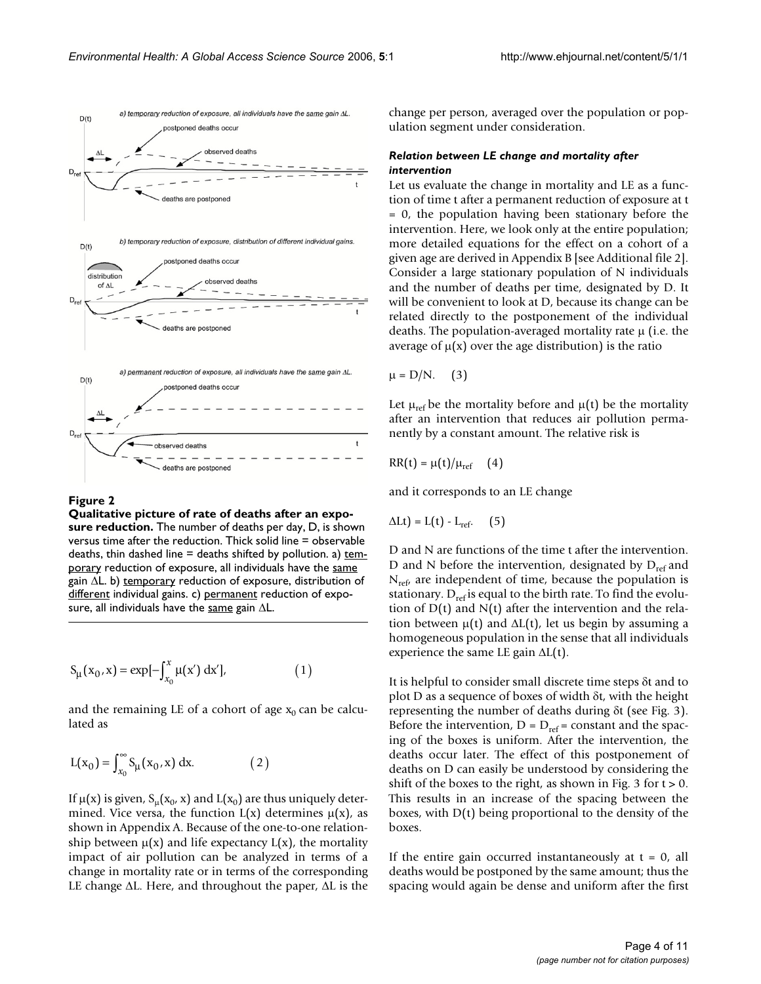

#### **Figure 2**

**Qualitative picture of rate of deaths after an exposure reduction.** The number of deaths per day, D, is shown versus time after the reduction. Thick solid line = observable deaths, thin dashed line  $=$  deaths shifted by pollution. a) temporary reduction of exposure, all individuals have the same gain ∆L. b) temporary reduction of exposure, distribution of different individual gains. c) permanent reduction of exposure, all individuals have the same gain ∆L.

$$
S_{\mu}(x_0, x) = \exp[-\int_{x_0}^{x} \mu(x') dx'],
$$
 (1)

and the remaining LE of a cohort of age  $x_0$  can be calculated as

$$
L(x_0) = \int_{x_0}^{\infty} S_{\mu}(x_0, x) dx.
$$
 (2)

If  $\mu(x)$  is given,  $S_u(x_0, x)$  and  $L(x_0)$  are thus uniquely determined. Vice versa, the function  $L(x)$  determines  $\mu(x)$ , as shown in Appendix A. Because of the one-to-one relationship between  $\mu(x)$  and life expectancy  $L(x)$ , the mortality impact of air pollution can be analyzed in terms of a change in mortality rate or in terms of the corresponding LE change ∆L. Here, and throughout the paper, ∆L is the change per person, averaged over the population or population segment under consideration.

## *Relation between LE change and mortality after intervention*

Let us evaluate the change in mortality and LE as a function of time t after a permanent reduction of exposure at t  $= 0$ , the population having been stationary before the intervention. Here, we look only at the entire population; more detailed equations for the effect on a cohort of a given age are derived in Appendix B [see Additional file 2]. Consider a large stationary population of N individuals and the number of deaths per time, designated by D. It will be convenient to look at D, because its change can be related directly to the postponement of the individual deaths. The population-averaged mortality rate  $\mu$  (i.e. the average of  $\mu(x)$  over the age distribution) is the ratio

$$
\mu = D/N. \quad (3)
$$

Let  $\mu_{ref}$  be the mortality before and  $\mu(t)$  be the mortality after an intervention that reduces air pollution permanently by a constant amount. The relative risk is

$$
RR(t) = \mu(t)/\mu_{ref} \quad (4)
$$

and it corresponds to an LE change

$$
\Delta \mathcal{L} \mathbf{t} = \mathcal{L}(\mathbf{t}) - \mathcal{L}_{\text{ref}}.\qquad(5)
$$

D and N are functions of the time t after the intervention. D and N before the intervention, designated by  $D_{ref}$  and  $N_{ref}$  are independent of time, because the population is stationary.  $D_{ref}$  is equal to the birth rate. To find the evolution of  $D(t)$  and  $N(t)$  after the intervention and the relation between  $\mu(t)$  and  $\Delta L(t)$ , let us begin by assuming a homogeneous population in the sense that all individuals experience the same LE gain  $\Delta L(t)$ .

It is helpful to consider small discrete time steps δt and to plot D as a sequence of boxes of width δt, with the height representing the number of deaths during δt (see Fig. 3). Before the intervention,  $D = D_{ref} = constant$  and the spacing of the boxes is uniform. After the intervention, the deaths occur later. The effect of this postponement of deaths on D can easily be understood by considering the shift of the boxes to the right, as shown in Fig. 3 for  $t > 0$ . This results in an increase of the spacing between the boxes, with D(t) being proportional to the density of the boxes.

If the entire gain occurred instantaneously at  $t = 0$ , all deaths would be postponed by the same amount; thus the spacing would again be dense and uniform after the first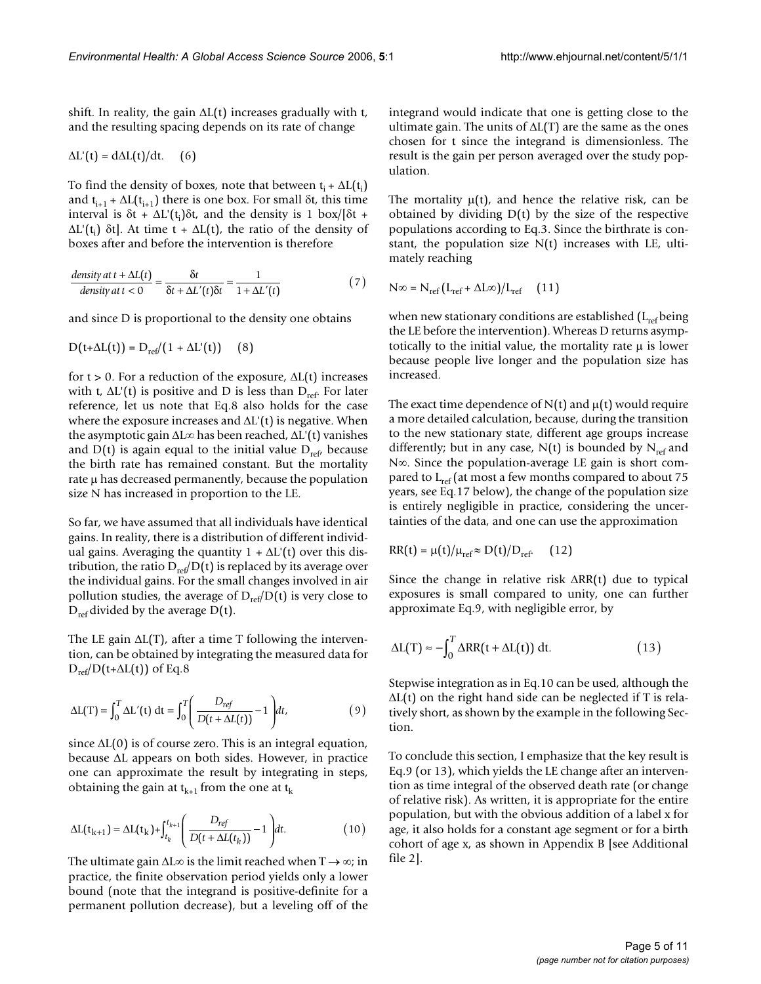shift. In reality, the gain  $\Delta L(t)$  increases gradually with t, and the resulting spacing depends on its rate of change

$$
\Delta L'(t) = d\Delta L(t)/dt. \quad (6)
$$

To find the density of boxes, note that between  $t_i + \Delta L(t_i)$ and  $t_{i+1}$  +  $\Delta L(t_{i+1})$  there is one box. For small  $\delta t$ , this time interval is  $\delta t + \Delta L'(t_i) \delta t$ , and the density is 1 box/[ $\delta t$  +  $\Delta L'(t_i)$  δt]. At time t +  $\Delta L(t)$ , the ratio of the density of boxes after and before the intervention is therefore

$$
\frac{density \, at \, t + \Delta L(t)}{density \, at \, t < 0} = \frac{\delta t}{\delta t + \Delta L'(t)\delta t} = \frac{1}{1 + \Delta L'(t)}\tag{7}
$$

and since D is proportional to the density one obtains

$$
D(t+\Delta L(t)) = D_{ref}/(1+\Delta L'(t)) \qquad (8)
$$

for t > 0. For a reduction of the exposure,  $\Delta L(t)$  increases with t,  $\Delta L'(t)$  is positive and D is less than  $D_{ref}$ . For later reference, let us note that Eq.8 also holds for the case where the exposure increases and ∆L'(t) is negative. When the asymptotic gain ∆L∞ has been reached, ∆L'(t) vanishes and  $D(t)$  is again equal to the initial value  $D_{ref}$ , because the birth rate has remained constant. But the mortality rate  $\mu$  has decreased permanently, because the population size N has increased in proportion to the LE.

So far, we have assumed that all individuals have identical gains. In reality, there is a distribution of different individual gains. Averaging the quantity  $1 + \Delta L'(t)$  over this distribution, the ratio  $D_{ref}/D(t)$  is replaced by its average over the individual gains. For the small changes involved in air pollution studies, the average of  $D_{ref}/D(t)$  is very close to  $D_{ref}$  divided by the average D(t).

The LE gain  $\Delta L(T)$ , after a time T following the intervention, can be obtained by integrating the measured data for  $D_{\text{ref}}/D(\text{t+}\Delta L(\text{t}))$  of Eq.8

$$
\Delta L(T) = \int_0^T \Delta L'(t) dt = \int_0^T \left( \frac{D_{ref}}{D(t + \Delta L(t))} - 1 \right) dt,
$$
 (9)

since ∆L(0) is of course zero. This is an integral equation, because ∆L appears on both sides. However, in practice one can approximate the result by integrating in steps, obtaining the gain at  $t_{k+1}$  from the one at  $t_k$ 

$$
\Delta L(t_{k+1}) = \Delta L(t_k) + \int_{t_k}^{t_{k+1}} \left( \frac{D_{ref}}{D(t + \Delta L(t_k))} - 1 \right) dt.
$$
 (10)

The ultimate gain  $\Delta L \infty$  is the limit reached when  $T \to \infty$ ; in practice, the finite observation period yields only a lower bound (note that the integrand is positive-definite for a permanent pollution decrease), but a leveling off of the integrand would indicate that one is getting close to the ultimate gain. The units of  $\Delta L(T)$  are the same as the ones chosen for t since the integrand is dimensionless. The result is the gain per person averaged over the study population.

The mortality  $\mu(t)$ , and hence the relative risk, can be obtained by dividing  $D(t)$  by the size of the respective populations according to Eq.3. Since the birthrate is constant, the population size  $N(t)$  increases with LE, ultimately reaching

$$
N\infty = N_{\text{ref}} \left( L_{\text{ref}} + \Delta L \infty \right) / L_{\text{ref}} \quad (11)
$$

when new stationary conditions are established  $(L_{ref}$  being the LE before the intervention). Whereas D returns asymptotically to the initial value, the mortality rate  $\mu$  is lower because people live longer and the population size has increased.

The exact time dependence of  $N(t)$  and  $\mu(t)$  would require a more detailed calculation, because, during the transition to the new stationary state, different age groups increase differently; but in any case,  $N(t)$  is bounded by  $N_{ref}$  and N∞. Since the population-average LE gain is short compared to  $L_{ref}$  (at most a few months compared to about 75 years, see Eq.17 below), the change of the population size is entirely negligible in practice, considering the uncertainties of the data, and one can use the approximation

$$
RR(t) = \mu(t)/\mu_{ref} \approx D(t)/D_{ref}.
$$
 (12)

Since the change in relative risk ∆RR(t) due to typical exposures is small compared to unity, one can further approximate Eq.9, with negligible error, by

$$
\Delta L(T) \approx -\int_0^T \Delta RR(t + \Delta L(t)) dt.
$$
 (13)

Stepwise integration as in Eq.10 can be used, although the  $\Delta L(t)$  on the right hand side can be neglected if T is relatively short, as shown by the example in the following Section.

To conclude this section, I emphasize that the key result is Eq.9 (or 13), which yields the LE change after an intervention as time integral of the observed death rate (or change of relative risk). As written, it is appropriate for the entire population, but with the obvious addition of a label x for age, it also holds for a constant age segment or for a birth cohort of age x, as shown in Appendix B [see Additional file 2].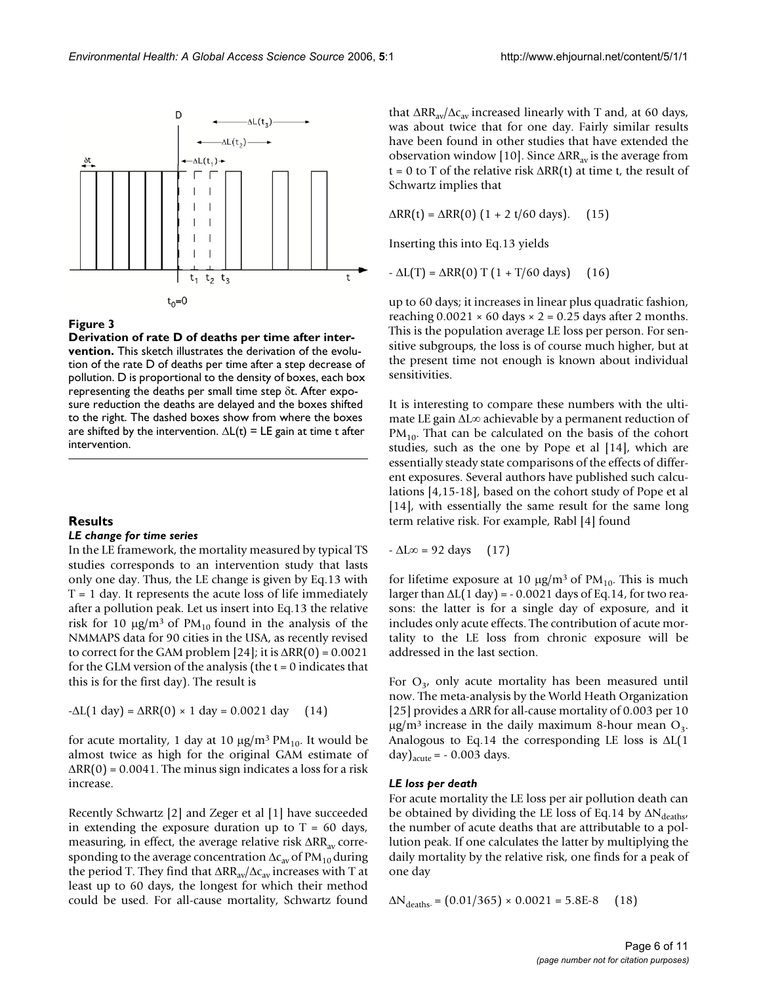

#### **Figure 3**

**Derivation of rate D of deaths per time after intervention.** This sketch illustrates the derivation of the evolution of the rate D of deaths per time after a step decrease of pollution. D is proportional to the density of boxes, each box representing the deaths per small time step δt. After exposure reduction the deaths are delayed and the boxes shifted to the right. The dashed boxes show from where the boxes are shifted by the intervention.  $\Delta L(t) = L E$  gain at time t after intervention.

#### **Results**

#### *LE change for time series*

In the LE framework, the mortality measured by typical TS studies corresponds to an intervention study that lasts only one day. Thus, the LE change is given by Eq.13 with  $T = 1$  day. It represents the acute loss of life immediately after a pollution peak. Let us insert into Eq.13 the relative risk for 10  $\mu$ g/m<sup>3</sup> of PM<sub>10</sub> found in the analysis of the NMMAPS data for 90 cities in the USA, as recently revised to correct for the GAM problem [24]; it is  $\Delta RR(0) = 0.0021$ for the GLM version of the analysis (the  $t = 0$  indicates that this is for the first day). The result is

 $-L(L(1 day) = \Delta RR(0) \times 1 day = 0.0021 day$  (14)

for acute mortality, 1 day at 10  $\mu$ g/m<sup>3</sup> PM<sub>10</sub>. It would be almost twice as high for the original GAM estimate of  $\Delta RR(0) = 0.0041$ . The minus sign indicates a loss for a risk increase.

Recently Schwartz [2] and Zeger et al [1] have succeeded in extending the exposure duration up to  $T = 60$  days, measuring, in effect, the average relative risk  $\Delta RR_{av}$  corresponding to the average concentration  $\Delta c_{av}$  of PM<sub>10</sub> during the period T. They find that  $\Delta RR_{av}/\Delta c_{av}$  increases with T at least up to 60 days, the longest for which their method could be used. For all-cause mortality, Schwartz found

that  $\Delta RR_{av}/\Delta c_{av}$  increased linearly with T and, at 60 days, was about twice that for one day. Fairly similar results have been found in other studies that have extended the observation window [10]. Since  $\Delta RR_{av}$  is the average from t = 0 to T of the relative risk ∆RR(t) at time t, the result of Schwartz implies that

 $\Delta RR(t) = \Delta RR(0) (1 + 2 t/60 \text{ days}).$  (15)

Inserting this into Eq.13 yields

$$
-\Delta L(T) = \Delta RR(0) T (1 + T/60 \text{ days}) \quad (16)
$$

up to 60 days; it increases in linear plus quadratic fashion, reaching  $0.0021 \times 60$  days  $\times$  2 = 0.25 days after 2 months. This is the population average LE loss per person. For sensitive subgroups, the loss is of course much higher, but at the present time not enough is known about individual sensitivities.

It is interesting to compare these numbers with the ultimate LE gain ∆L∞ achievable by a permanent reduction of  $PM_{10}$ . That can be calculated on the basis of the cohort studies, such as the one by Pope et al [14], which are essentially steady state comparisons of the effects of different exposures. Several authors have published such calculations [4,15-18], based on the cohort study of Pope et al [14], with essentially the same result for the same long term relative risk. For example, Rabl [4] found

 $-\Delta$ L∞ = 92 days (17)

for lifetime exposure at 10  $\mu$ g/m<sup>3</sup> of PM<sub>10</sub>. This is much larger than  $\Delta L(1 \text{ day}) = -0.0021 \text{ days of Eq. 14}$ , for two reasons: the latter is for a single day of exposure, and it includes only acute effects. The contribution of acute mortality to the LE loss from chronic exposure will be addressed in the last section.

For  $O_{3}$ , only acute mortality has been measured until now. The meta-analysis by the World Heath Organization [25] provides a ∆RR for all-cause mortality of 0.003 per 10  $\mu$ g/m<sup>3</sup> increase in the daily maximum 8-hour mean O<sub>3</sub>. Analogous to Eq.14 the corresponding LE loss is ∆L(1 day) $_{\text{acute}}$  = - 0.003 days.

#### *LE loss per death*

For acute mortality the LE loss per air pollution death can be obtained by dividing the LE loss of Eq.14 by  $\Delta N_{\text{deaths}}$ , the number of acute deaths that are attributable to a pollution peak. If one calculates the latter by multiplying the daily mortality by the relative risk, one finds for a peak of one day

 $\Delta N_{\text{deaths}} = (0.01/365) \times 0.0021 = 5.8E-8$  (18)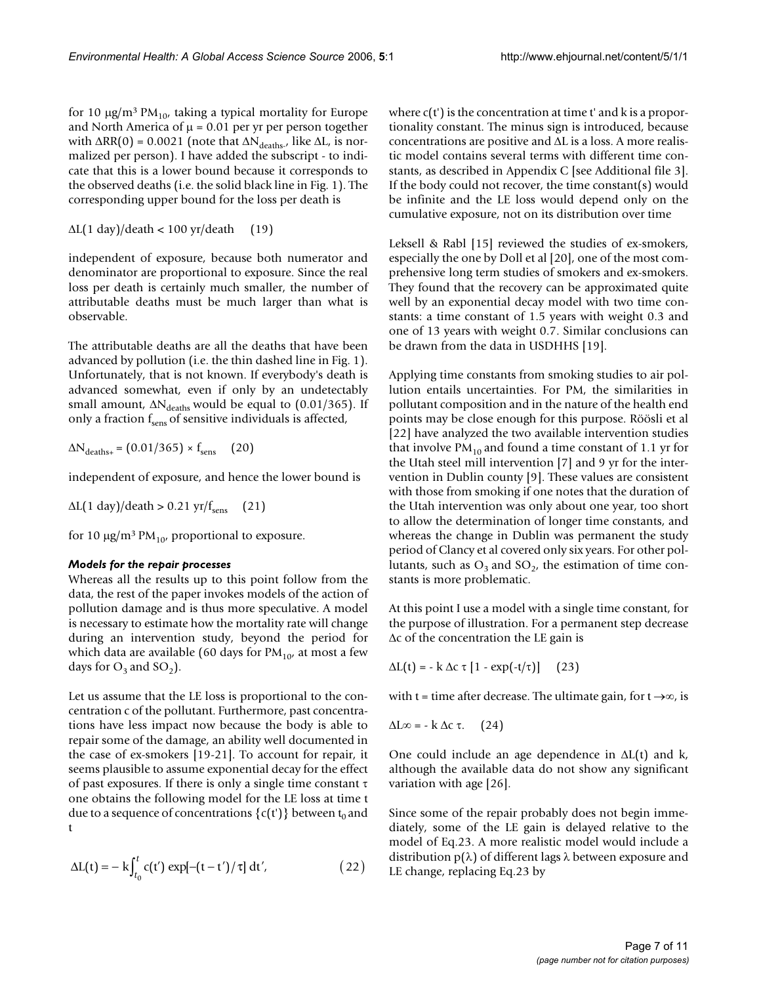for 10  $\mu$ g/m<sup>3</sup> PM<sub>10</sub>, taking a typical mortality for Europe and North America of  $\mu$  = 0.01 per yr per person together with  $\Delta RR(0) = 0.0021$  (note that  $\Delta N_{\text{deaths}}$ , like  $\Delta L$ , is normalized per person). I have added the subscript - to indicate that this is a lower bound because it corresponds to the observed deaths (i.e. the solid black line in Fig. 1). The corresponding upper bound for the loss per death is

```
∆L(1 day)/death < 100 yr/death (19)
```
independent of exposure, because both numerator and denominator are proportional to exposure. Since the real loss per death is certainly much smaller, the number of attributable deaths must be much larger than what is observable.

The attributable deaths are all the deaths that have been advanced by pollution (i.e. the thin dashed line in Fig. 1). Unfortunately, that is not known. If everybody's death is advanced somewhat, even if only by an undetectably small amount,  $\Delta N_{\text{deaths}}$  would be equal to (0.01/365). If only a fraction  $f_{\text{sens}}$  of sensitive individuals is affected,

 $\Delta N_{\text{deaths+}} = (0.01/365) \times f_{\text{sens}}$  (20)

independent of exposure, and hence the lower bound is

 $\Delta L(1 \text{ day})/$ death > 0.21 yr/f<sub>sens</sub> (21)

for 10  $\mu$ g/m<sup>3</sup> PM<sub>10</sub>, proportional to exposure.

#### *Models for the repair processes*

Whereas all the results up to this point follow from the data, the rest of the paper invokes models of the action of pollution damage and is thus more speculative. A model is necessary to estimate how the mortality rate will change during an intervention study, beyond the period for which data are available (60 days for  $PM_{10}$ , at most a few days for  $O_3$  and  $SO_2$ ).

Let us assume that the LE loss is proportional to the concentration c of the pollutant. Furthermore, past concentrations have less impact now because the body is able to repair some of the damage, an ability well documented in the case of ex-smokers [19-21]. To account for repair, it seems plausible to assume exponential decay for the effect of past exposures. If there is only a single time constant  $\tau$ one obtains the following model for the LE loss at time t due to a sequence of concentrations  $\{c(t)\}\$  between  $t_0$  and t

$$
\Delta L(t) = -k \int_{t_0}^t c(t') \exp[-(t-t')/\tau] dt', \qquad (22)
$$

where  $c(t')$  is the concentration at time t' and k is a proportionality constant. The minus sign is introduced, because concentrations are positive and ∆L is a loss. A more realistic model contains several terms with different time constants, as described in Appendix C [see Additional file 3]. If the body could not recover, the time constant(s) would be infinite and the LE loss would depend only on the cumulative exposure, not on its distribution over time

Leksell & Rabl [15] reviewed the studies of ex-smokers, especially the one by Doll et al [20], one of the most comprehensive long term studies of smokers and ex-smokers. They found that the recovery can be approximated quite well by an exponential decay model with two time constants: a time constant of 1.5 years with weight 0.3 and one of 13 years with weight 0.7. Similar conclusions can be drawn from the data in USDHHS [19].

Applying time constants from smoking studies to air pollution entails uncertainties. For PM, the similarities in pollutant composition and in the nature of the health end points may be close enough for this purpose. Röösli et al [22] have analyzed the two available intervention studies that involve  $PM_{10}$  and found a time constant of 1.1 yr for the Utah steel mill intervention [7] and 9 yr for the intervention in Dublin county [9]. These values are consistent with those from smoking if one notes that the duration of the Utah intervention was only about one year, too short to allow the determination of longer time constants, and whereas the change in Dublin was permanent the study period of Clancy et al covered only six years. For other pollutants, such as  $O_3$  and  $SO_2$ , the estimation of time constants is more problematic.

At this point I use a model with a single time constant, for the purpose of illustration. For a permanent step decrease ∆c of the concentration the LE gain is

$$
\Delta L(t) = -k \Delta c \tau [1 - \exp(-t/\tau)] \quad (23)
$$

with t = time after decrease. The ultimate gain, for  $t \rightarrow \infty$ , is

$$
\Delta L \infty = -k \Delta c \tau. \quad (24)
$$

One could include an age dependence in ∆L(t) and k, although the available data do not show any significant variation with age [26].

Since some of the repair probably does not begin immediately, some of the LE gain is delayed relative to the model of Eq.23. A more realistic model would include a distribution  $p(\lambda)$  of different lags  $\lambda$  between exposure and LE change, replacing Eq.23 by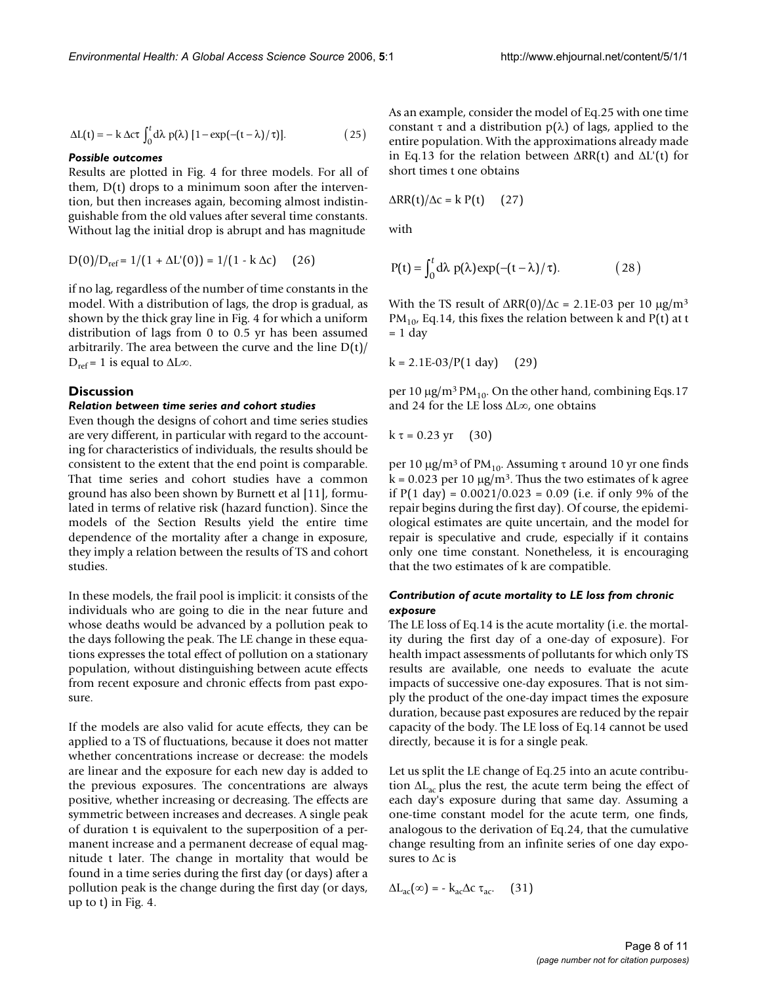$$
\Delta L(t) = -k \Delta c \tau \int_0^t d\lambda \, p(\lambda) \left[ 1 - \exp(-(t - \lambda)/\tau) \right]. \tag{25}
$$

## *Possible outcomes*

Results are plotted in Fig. 4 for three models. For all of them,  $D(t)$  drops to a minimum soon after the intervention, but then increases again, becoming almost indistinguishable from the old values after several time constants. Without lag the initial drop is abrupt and has magnitude

$$
D(0)/D_{ref} = 1/(1 + \Delta L'(0)) = 1/(1 - k \Delta c) \quad (26)
$$

if no lag, regardless of the number of time constants in the model. With a distribution of lags, the drop is gradual, as shown by the thick gray line in Fig. 4 for which a uniform distribution of lags from 0 to 0.5 yr has been assumed arbitrarily. The area between the curve and the line  $D(t)/$ D<sub>ref</sub> = 1 is equal to  $\Delta L \infty$ .

## **Discussion**

#### *Relation between time series and cohort studies*

Even though the designs of cohort and time series studies are very different, in particular with regard to the accounting for characteristics of individuals, the results should be consistent to the extent that the end point is comparable. That time series and cohort studies have a common ground has also been shown by Burnett et al [11], formulated in terms of relative risk (hazard function). Since the models of the Section Results yield the entire time dependence of the mortality after a change in exposure, they imply a relation between the results of TS and cohort studies.

In these models, the frail pool is implicit: it consists of the individuals who are going to die in the near future and whose deaths would be advanced by a pollution peak to the days following the peak. The LE change in these equations expresses the total effect of pollution on a stationary population, without distinguishing between acute effects from recent exposure and chronic effects from past exposure.

If the models are also valid for acute effects, they can be applied to a TS of fluctuations, because it does not matter whether concentrations increase or decrease: the models are linear and the exposure for each new day is added to the previous exposures. The concentrations are always positive, whether increasing or decreasing. The effects are symmetric between increases and decreases. A single peak of duration t is equivalent to the superposition of a permanent increase and a permanent decrease of equal magnitude t later. The change in mortality that would be found in a time series during the first day (or days) after a pollution peak is the change during the first day (or days, up to t) in Fig. 4.

As an example, consider the model of Eq.25 with one time constant τ and a distribution  $p(λ)$  of lags, applied to the entire population. With the approximations already made in Eq.13 for the relation between ∆RR(t) and ∆L'(t) for short times t one obtains

$$
\Delta RR(t)/\Delta c = k P(t) \quad (27)
$$

with

$$
P(t) = \int_0^t d\lambda \ p(\lambda) \exp(-(t - \lambda)/\tau).
$$
 (28)

With the TS result of  $\Delta RR(0)/\Delta c = 2.1E-03$  per 10 µg/m<sup>3</sup>  $PM_{10}$ , Eq.14, this fixes the relation between k and P(t) at t  $= 1$  day

$$
k = 2.1E-03/P(1 \text{ day})
$$
 (29)

per 10  $\mu$ g/m<sup>3</sup> PM<sub>10</sub>. On the other hand, combining Eqs.17 and 24 for the LE loss ∆L∞, one obtains

$$
k \tau = 0.23 \text{ yr} \quad (30)
$$

per 10  $\mu$ g/m<sup>3</sup> of PM<sub>10</sub>. Assuming τ around 10 yr one finds  $k = 0.023$  per 10  $\mu$ g/m<sup>3</sup>. Thus the two estimates of k agree if P(1 day) = 0.0021/0.023 = 0.09 (i.e. if only 9% of the repair begins during the first day). Of course, the epidemiological estimates are quite uncertain, and the model for repair is speculative and crude, especially if it contains only one time constant. Nonetheless, it is encouraging that the two estimates of k are compatible.

## *Contribution of acute mortality to LE loss from chronic exposure*

The LE loss of Eq.14 is the acute mortality (i.e. the mortality during the first day of a one-day of exposure). For health impact assessments of pollutants for which only TS results are available, one needs to evaluate the acute impacts of successive one-day exposures. That is not simply the product of the one-day impact times the exposure duration, because past exposures are reduced by the repair capacity of the body. The LE loss of Eq.14 cannot be used directly, because it is for a single peak.

Let us split the LE change of Eq.25 into an acute contribution  $\Delta L_{ac}$  plus the rest, the acute term being the effect of each day's exposure during that same day. Assuming a one-time constant model for the acute term, one finds, analogous to the derivation of Eq.24, that the cumulative change resulting from an infinite series of one day exposures to ∆c is

$$
\Delta L_{ac}(\infty) = -k_{ac}\Delta c \tau_{ac}. \quad (31)
$$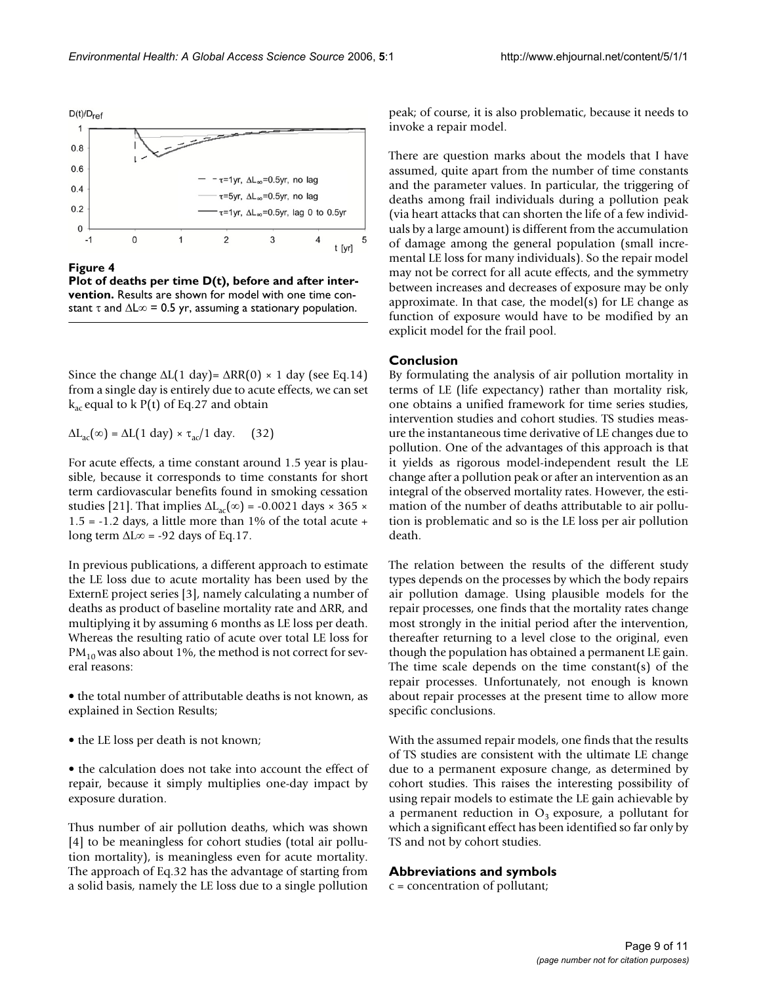

**Figure 4 Plot of deaths per time D(t), before and after intervention.** Results are shown for model with one time constant  $\tau$  and  $\Delta L \infty$  = 0.5 yr, assuming a stationary population.

Since the change  $\Delta L(1 \text{ day}) = \Delta RR(0) \times 1 \text{ day}$  (see Eq.14) from a single day is entirely due to acute effects, we can set  $k_{ac}$  equal to k P(t) of Eq.27 and obtain

$$
\Delta L_{ac}(\infty) = \Delta L(1 \text{ day}) \times \tau_{ac}/1 \text{ day.} \quad (32)
$$

For acute effects, a time constant around 1.5 year is plausible, because it corresponds to time constants for short term cardiovascular benefits found in smoking cessation studies [21]. That implies  $\Delta L_{ac}(\infty) = -0.0021$  days × 365 ×  $1.5 = -1.2$  days, a little more than 1% of the total acute + long term  $\Delta L \infty$  = -92 days of Eq.17.

In previous publications, a different approach to estimate the LE loss due to acute mortality has been used by the ExternE project series [3], namely calculating a number of deaths as product of baseline mortality rate and ∆RR, and multiplying it by assuming 6 months as LE loss per death. Whereas the resulting ratio of acute over total LE loss for  $PM_{10}$  was also about 1%, the method is not correct for several reasons:

• the total number of attributable deaths is not known, as explained in Section Results;

• the LE loss per death is not known;

• the calculation does not take into account the effect of repair, because it simply multiplies one-day impact by exposure duration.

Thus number of air pollution deaths, which was shown [4] to be meaningless for cohort studies (total air pollution mortality), is meaningless even for acute mortality. The approach of Eq.32 has the advantage of starting from a solid basis, namely the LE loss due to a single pollution peak; of course, it is also problematic, because it needs to invoke a repair model.

There are question marks about the models that I have assumed, quite apart from the number of time constants and the parameter values. In particular, the triggering of deaths among frail individuals during a pollution peak (via heart attacks that can shorten the life of a few individuals by a large amount) is different from the accumulation of damage among the general population (small incremental LE loss for many individuals). So the repair model may not be correct for all acute effects, and the symmetry between increases and decreases of exposure may be only approximate. In that case, the model(s) for LE change as function of exposure would have to be modified by an explicit model for the frail pool.

# **Conclusion**

By formulating the analysis of air pollution mortality in terms of LE (life expectancy) rather than mortality risk, one obtains a unified framework for time series studies, intervention studies and cohort studies. TS studies measure the instantaneous time derivative of LE changes due to pollution. One of the advantages of this approach is that it yields as rigorous model-independent result the LE change after a pollution peak or after an intervention as an integral of the observed mortality rates. However, the estimation of the number of deaths attributable to air pollution is problematic and so is the LE loss per air pollution death.

The relation between the results of the different study types depends on the processes by which the body repairs air pollution damage. Using plausible models for the repair processes, one finds that the mortality rates change most strongly in the initial period after the intervention, thereafter returning to a level close to the original, even though the population has obtained a permanent LE gain. The time scale depends on the time constant(s) of the repair processes. Unfortunately, not enough is known about repair processes at the present time to allow more specific conclusions.

With the assumed repair models, one finds that the results of TS studies are consistent with the ultimate LE change due to a permanent exposure change, as determined by cohort studies. This raises the interesting possibility of using repair models to estimate the LE gain achievable by a permanent reduction in  $O_3$  exposure, a pollutant for which a significant effect has been identified so far only by TS and not by cohort studies.

# **Abbreviations and symbols**

c = concentration of pollutant;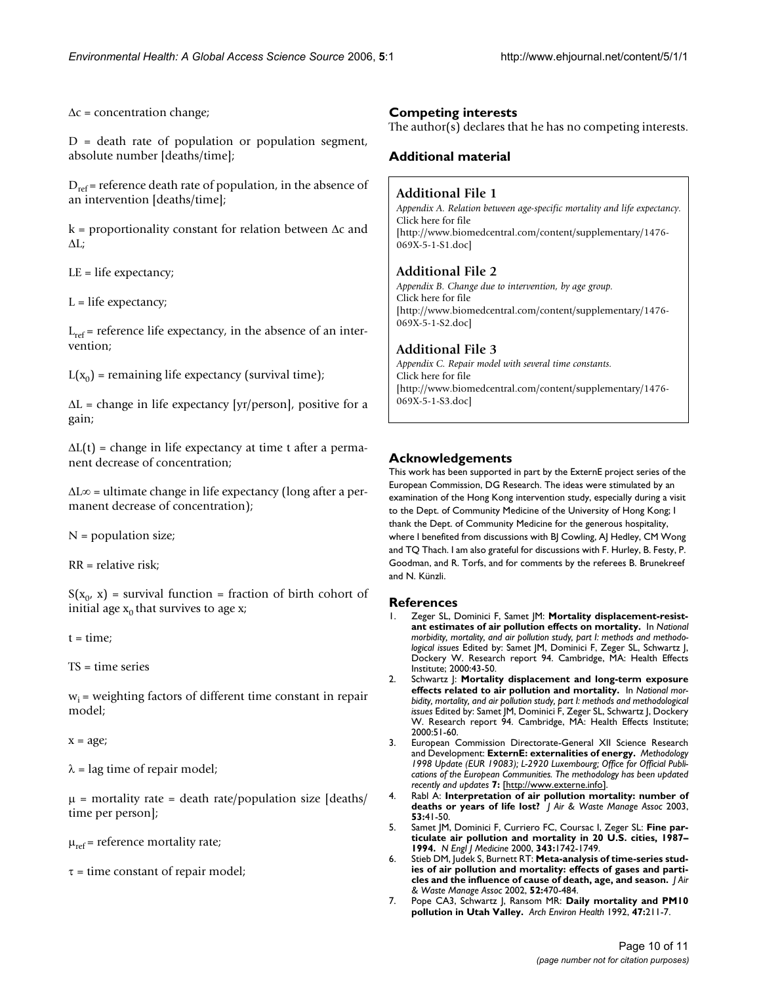$\Delta c$  = concentration change;

 $D =$  death rate of population or population segment, absolute number [deaths/time];

 $D_{ref}$  = reference death rate of population, in the absence of an intervention [deaths/time];

k = proportionality constant for relation between ∆c and ∆L;

LE = life expectancy;

 $L =$  life expectancy;

 $L_{ref}$  = reference life expectancy, in the absence of an intervention;

 $L(x_0)$  = remaining life expectancy (survival time);

∆L = change in life expectancy [yr/person], positive for a gain;

 $\Delta L(t)$  = change in life expectancy at time t after a permanent decrease of concentration;

∆L∞ = ultimate change in life expectancy (long after a permanent decrease of concentration);

 $N =$  population size;

RR = relative risk;

 $S(x_0, x)$  = survival function = fraction of birth cohort of initial age  $x_0$  that survives to age x;

 $t = time;$ 

TS = time series

 $w_i$  = weighting factors of different time constant in repair model;

 $x = age;$ 

 $\lambda$  = lag time of repair model;

 $\mu$  = mortality rate = death rate/population size [deaths/ time per person];

 $\mu_{ref}$  = reference mortality rate;

 $\tau$  = time constant of repair model;

# **Competing interests**

The author(s) declares that he has no competing interests.

# **Additional material**

# **Additional File 1**

*Appendix A. Relation between age-specific mortality and life expectancy.* Click here for file [\[http://www.biomedcentral.com/content/supplementary/1476-](http://www.biomedcentral.com/content/supplementary/1476-069X-5-1-S1.doc) 069X-5-1-S1.doc]

# **Additional File 2**

*Appendix B. Change due to intervention, by age group.* Click here for file [\[http://www.biomedcentral.com/content/supplementary/1476-](http://www.biomedcentral.com/content/supplementary/1476-069X-5-1-S2.doc) 069X-5-1-S2.doc]

# **Additional File 3**

*Appendix C. Repair model with several time constants.* Click here for file [\[http://www.biomedcentral.com/content/supplementary/1476-](http://www.biomedcentral.com/content/supplementary/1476-069X-5-1-S3.doc) 069X-5-1-S3.doc]

# **Acknowledgements**

This work has been supported in part by the ExternE project series of the European Commission, DG Research. The ideas were stimulated by an examination of the Hong Kong intervention study, especially during a visit to the Dept. of Community Medicine of the University of Hong Kong; I thank the Dept. of Community Medicine for the generous hospitality, where I benefited from discussions with BJ Cowling, AJ Hedley, CM Wong and TQ Thach. I am also grateful for discussions with F. Hurley, B. Festy, P. Goodman, and R. Torfs, and for comments by the referees B. Brunekreef and N. Künzli.

# **References**

- Zeger SL, Dominici F, Samet JM: Mortality displacement-resist**ant estimates of air pollution effects on mortality.** In *National morbidity, mortality, and air pollution study, part I: methods and methodological issues* Edited by: Samet JM, Dominici F, Zeger SL, Schwartz J, Dockery W. Research report 94. Cambridge, MA: Health Effects Institute; 2000:43-50.
- 2. Schwartz J: **Mortality displacement and long-term exposure effects related to air pollution and mortality.** In *National morbidity, mortality, and air pollution study, part I: methods and methodological issues* Edited by: Samet JM, Dominici F, Zeger SL, Schwartz J, Dockery W. Research report 94. Cambridge, MA: Health Effects Institute; 2000:51-60.
- 3. European Commission Directorate-General XII Science Research and Development: **ExternE: externalities of energy.** *Methodology 1998 Update (EUR 19083); L-2920 Luxembourg; Office for Official Publications of the European Communities. The methodology has been updated recently and updates* **7:** [\[http://www.externe.info](http://www.externe.info)].
- 4. Rabl A: **Interpretation of air pollution mortality: number of deaths or years of life lost?** *J Air & Waste Manage Assoc* 2003, **53:**41-50.
- 5. Samet JM, Dominici F, Curriero FC, Coursac I, Zeger SL: **Fine particulate air pollution and mortality in 20 U.S. cities, 1987– 1994.** *N Engl J Medicine* 2000, **343:**1742-1749.
- 6. Stieb DM, Judek S, Burnett RT: **Meta-analysis of time-series studies of air pollution and mortality: effects of gases and particles and the influence of cause of death, age, and season.** *J Air & Waste Manage Assoc* 2002, **52:**470-484.
- 7. Pope CA3, Schwartz J, Ransom MR: **[Daily mortality and PM10](http://www.ncbi.nlm.nih.gov/entrez/query.fcgi?cmd=Retrieve&db=PubMed&dopt=Abstract&list_uids=1596104) [pollution in Utah Valley.](http://www.ncbi.nlm.nih.gov/entrez/query.fcgi?cmd=Retrieve&db=PubMed&dopt=Abstract&list_uids=1596104)** *Arch Environ Health* 1992, **47:**211-7.